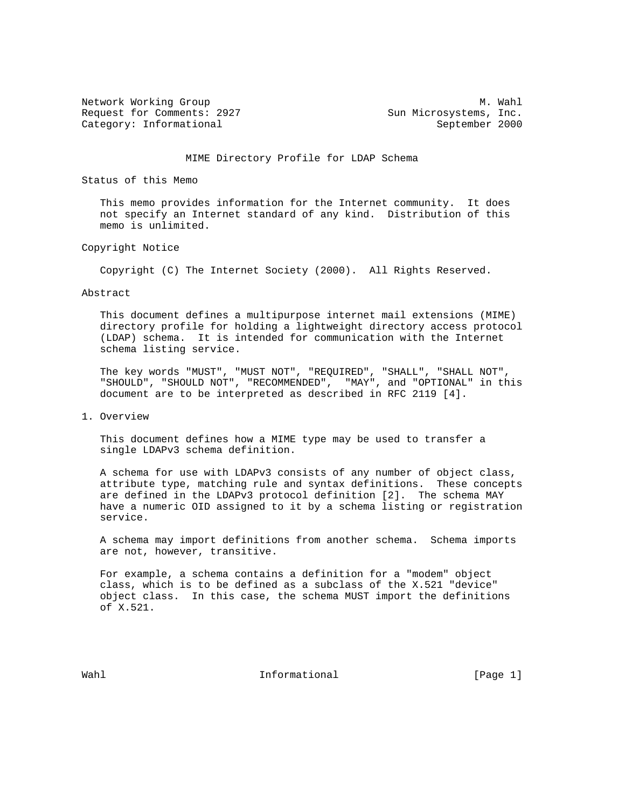Request for Comments: 2927 Sun Microsystems, Inc. Category: Informational September 2000

Network Working Group Methods and Muslim Methods and Muslim Muslim Muslim Muslim Muslim Muslim Muslim Muslim Mu

## MIME Directory Profile for LDAP Schema

Status of this Memo

 This memo provides information for the Internet community. It does not specify an Internet standard of any kind. Distribution of this memo is unlimited.

Copyright Notice

Copyright (C) The Internet Society (2000). All Rights Reserved.

Abstract

 This document defines a multipurpose internet mail extensions (MIME) directory profile for holding a lightweight directory access protocol (LDAP) schema. It is intended for communication with the Internet schema listing service.

 The key words "MUST", "MUST NOT", "REQUIRED", "SHALL", "SHALL NOT", "SHOULD", "SHOULD NOT", "RECOMMENDED", "MAY", and "OPTIONAL" in this document are to be interpreted as described in RFC 2119 [4].

1. Overview

 This document defines how a MIME type may be used to transfer a single LDAPv3 schema definition.

 A schema for use with LDAPv3 consists of any number of object class, attribute type, matching rule and syntax definitions. These concepts are defined in the LDAPv3 protocol definition [2]. The schema MAY have a numeric OID assigned to it by a schema listing or registration service.

 A schema may import definitions from another schema. Schema imports are not, however, transitive.

 For example, a schema contains a definition for a "modem" object class, which is to be defined as a subclass of the X.521 "device" object class. In this case, the schema MUST import the definitions of X.521.

Wahl **Informational** Informational **Informational** [Page 1]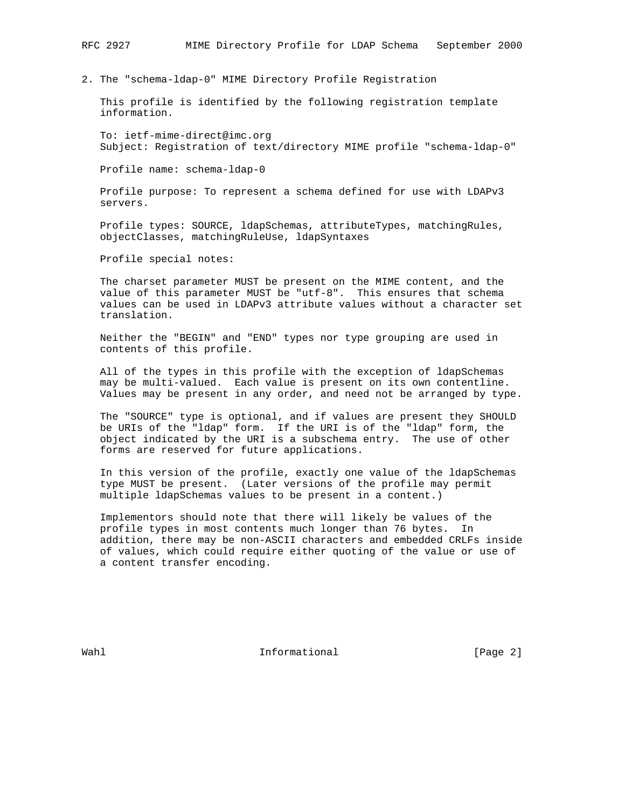2. The "schema-ldap-0" MIME Directory Profile Registration

 This profile is identified by the following registration template information.

 To: ietf-mime-direct@imc.org Subject: Registration of text/directory MIME profile "schema-ldap-0"

Profile name: schema-ldap-0

 Profile purpose: To represent a schema defined for use with LDAPv3 servers.

 Profile types: SOURCE, ldapSchemas, attributeTypes, matchingRules, objectClasses, matchingRuleUse, ldapSyntaxes

Profile special notes:

 The charset parameter MUST be present on the MIME content, and the value of this parameter MUST be "utf-8". This ensures that schema values can be used in LDAPv3 attribute values without a character set translation.

 Neither the "BEGIN" and "END" types nor type grouping are used in contents of this profile.

 All of the types in this profile with the exception of ldapSchemas may be multi-valued. Each value is present on its own contentline. Values may be present in any order, and need not be arranged by type.

 The "SOURCE" type is optional, and if values are present they SHOULD be URIs of the "ldap" form. If the URI is of the "ldap" form, the object indicated by the URI is a subschema entry. The use of other forms are reserved for future applications.

 In this version of the profile, exactly one value of the ldapSchemas type MUST be present. (Later versions of the profile may permit multiple ldapSchemas values to be present in a content.)

 Implementors should note that there will likely be values of the profile types in most contents much longer than 76 bytes. In addition, there may be non-ASCII characters and embedded CRLFs inside of values, which could require either quoting of the value or use of a content transfer encoding.

Wahl **Informational** Informational **Informational** [Page 2]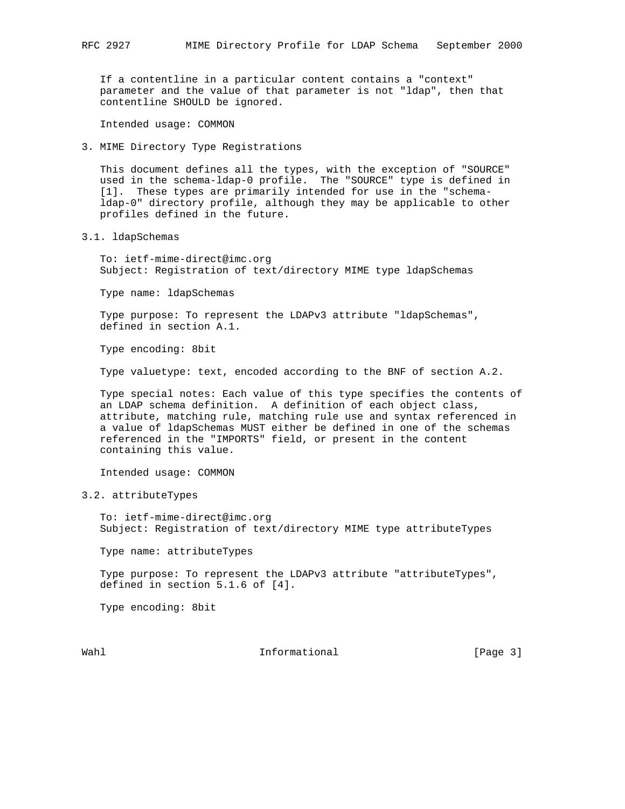If a contentline in a particular content contains a "context" parameter and the value of that parameter is not "ldap", then that contentline SHOULD be ignored.

Intended usage: COMMON

3. MIME Directory Type Registrations

 This document defines all the types, with the exception of "SOURCE" used in the schema-ldap-0 profile. The "SOURCE" type is defined in [1]. These types are primarily intended for use in the "schema ldap-0" directory profile, although they may be applicable to other profiles defined in the future.

3.1. ldapSchemas

 To: ietf-mime-direct@imc.org Subject: Registration of text/directory MIME type ldapSchemas

Type name: ldapSchemas

 Type purpose: To represent the LDAPv3 attribute "ldapSchemas", defined in section A.1.

Type encoding: 8bit

Type valuetype: text, encoded according to the BNF of section A.2.

 Type special notes: Each value of this type specifies the contents of an LDAP schema definition. A definition of each object class, attribute, matching rule, matching rule use and syntax referenced in a value of ldapSchemas MUST either be defined in one of the schemas referenced in the "IMPORTS" field, or present in the content containing this value.

Intended usage: COMMON

3.2. attributeTypes

 To: ietf-mime-direct@imc.org Subject: Registration of text/directory MIME type attributeTypes

Type name: attributeTypes

Type purpose: To represent the LDAPv3 attribute "attributeTypes", defined in section 5.1.6 of [4].

Type encoding: 8bit

Wahl **Informational** Informational **Informational** [Page 3]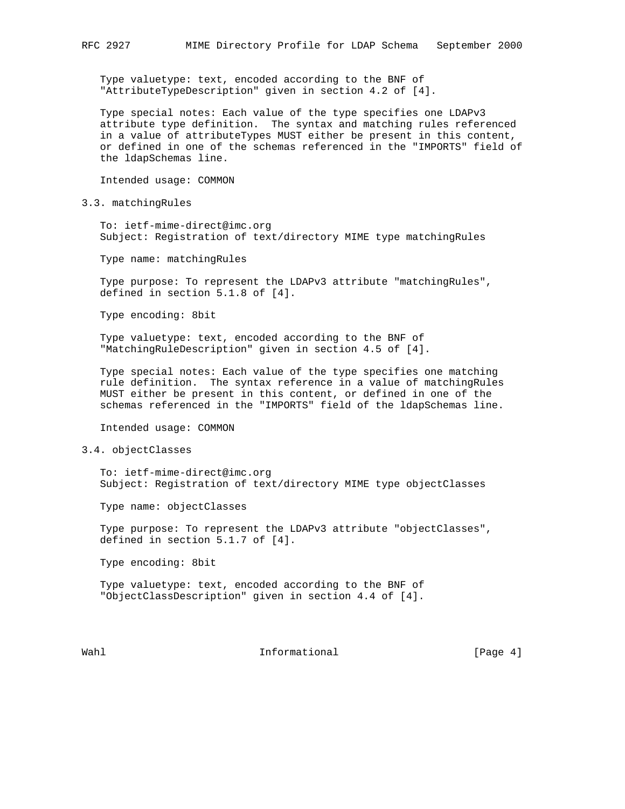Type valuetype: text, encoded according to the BNF of "AttributeTypeDescription" given in section 4.2 of [4].

 Type special notes: Each value of the type specifies one LDAPv3 attribute type definition. The syntax and matching rules referenced in a value of attributeTypes MUST either be present in this content, or defined in one of the schemas referenced in the "IMPORTS" field of the ldapSchemas line.

Intended usage: COMMON

3.3. matchingRules

 To: ietf-mime-direct@imc.org Subject: Registration of text/directory MIME type matchingRules

Type name: matchingRules

 Type purpose: To represent the LDAPv3 attribute "matchingRules", defined in section 5.1.8 of [4].

Type encoding: 8bit

 Type valuetype: text, encoded according to the BNF of "MatchingRuleDescription" given in section 4.5 of [4].

 Type special notes: Each value of the type specifies one matching rule definition. The syntax reference in a value of matchingRules MUST either be present in this content, or defined in one of the schemas referenced in the "IMPORTS" field of the ldapSchemas line.

Intended usage: COMMON

## 3.4. objectClasses

 To: ietf-mime-direct@imc.org Subject: Registration of text/directory MIME type objectClasses

Type name: objectClasses

 Type purpose: To represent the LDAPv3 attribute "objectClasses", defined in section 5.1.7 of [4].

Type encoding: 8bit

 Type valuetype: text, encoded according to the BNF of "ObjectClassDescription" given in section 4.4 of [4].

Wahl  $\qquad \qquad \qquad$  Informational  $\qquad \qquad$  [Page 4]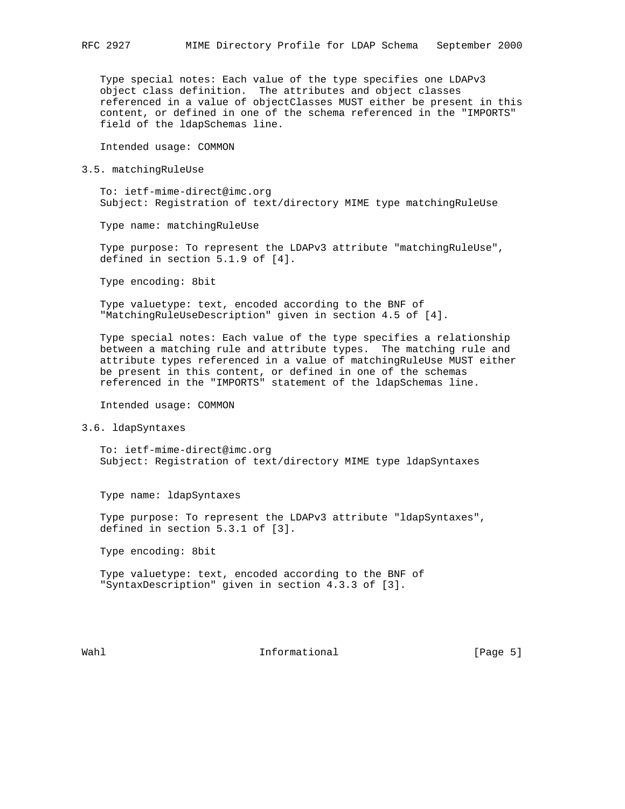Type special notes: Each value of the type specifies one LDAPv3 object class definition. The attributes and object classes referenced in a value of objectClasses MUST either be present in this content, or defined in one of the schema referenced in the "IMPORTS" field of the ldapSchemas line.

Intended usage: COMMON

3.5. matchingRuleUse

 To: ietf-mime-direct@imc.org Subject: Registration of text/directory MIME type matchingRuleUse

Type name: matchingRuleUse

 Type purpose: To represent the LDAPv3 attribute "matchingRuleUse", defined in section 5.1.9 of [4].

Type encoding: 8bit

 Type valuetype: text, encoded according to the BNF of "MatchingRuleUseDescription" given in section 4.5 of [4].

 Type special notes: Each value of the type specifies a relationship between a matching rule and attribute types. The matching rule and attribute types referenced in a value of matchingRuleUse MUST either be present in this content, or defined in one of the schemas referenced in the "IMPORTS" statement of the ldapSchemas line.

Intended usage: COMMON

3.6. ldapSyntaxes

 To: ietf-mime-direct@imc.org Subject: Registration of text/directory MIME type ldapSyntaxes

Type name: ldapSyntaxes

 Type purpose: To represent the LDAPv3 attribute "ldapSyntaxes", defined in section 5.3.1 of [3].

Type encoding: 8bit

 Type valuetype: text, encoded according to the BNF of "SyntaxDescription" given in section 4.3.3 of [3].

Wahl **Informational** Informational **Informational** [Page 5]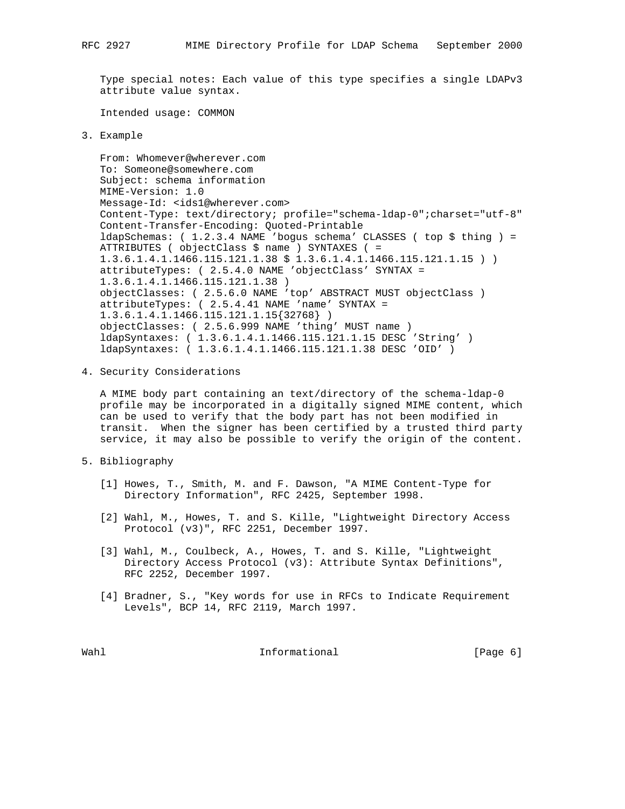Type special notes: Each value of this type specifies a single LDAPv3 attribute value syntax.

Intended usage: COMMON

3. Example

```
 From: Whomever@wherever.com
To: Someone@somewhere.com
Subject: schema information
MIME-Version: 1.0
Message-Id: <ids1@wherever.com>
Content-Type: text/directory; profile="schema-ldap-0";charset="utf-8"
Content-Transfer-Encoding: Quoted-Printable
ldapSchemas: ( 1.2.3.4 NAME 'bogus schema' CLASSES ( top $ thing ) =
ATTRIBUTES ( objectClass $ name ) SYNTAXES ( =
1.3.6.1.4.1.1466.115.121.1.38 $ 1.3.6.1.4.1.1466.115.121.1.15 ) )
attributeTypes: ( 2.5.4.0 NAME 'objectClass' SYNTAX =
1.3.6.1.4.1.1466.115.121.1.38 )
objectClasses: ( 2.5.6.0 NAME 'top' ABSTRACT MUST objectClass )
attributeTypes: ( 2.5.4.41 NAME 'name' SYNTAX =
1.3.6.1.4.1.1466.115.121.1.15{32768} )
objectClasses: ( 2.5.6.999 NAME 'thing' MUST name )
ldapSyntaxes: ( 1.3.6.1.4.1.1466.115.121.1.15 DESC 'String' )
ldapSyntaxes: ( 1.3.6.1.4.1.1466.115.121.1.38 DESC 'OID' )
```
4. Security Considerations

 A MIME body part containing an text/directory of the schema-ldap-0 profile may be incorporated in a digitally signed MIME content, which can be used to verify that the body part has not been modified in transit. When the signer has been certified by a trusted third party service, it may also be possible to verify the origin of the content.

- 5. Bibliography
	- [1] Howes, T., Smith, M. and F. Dawson, "A MIME Content-Type for Directory Information", RFC 2425, September 1998.
	- [2] Wahl, M., Howes, T. and S. Kille, "Lightweight Directory Access Protocol (v3)", RFC 2251, December 1997.
	- [3] Wahl, M., Coulbeck, A., Howes, T. and S. Kille, "Lightweight Directory Access Protocol (v3): Attribute Syntax Definitions", RFC 2252, December 1997.
	- [4] Bradner, S., "Key words for use in RFCs to Indicate Requirement Levels", BCP 14, RFC 2119, March 1997.

Wahl **Informational** Informational **Informational** [Page 6]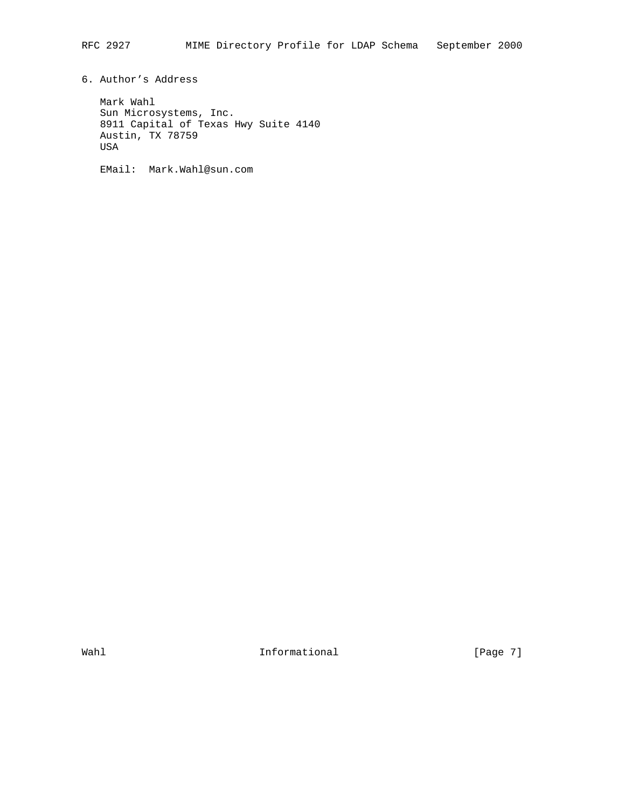6. Author's Address

 Mark Wahl Sun Microsystems, Inc. 8911 Capital of Texas Hwy Suite 4140 Austin, TX 78759 USA

EMail: Mark.Wahl@sun.com

Wahl **Informational** Informational [Page 7]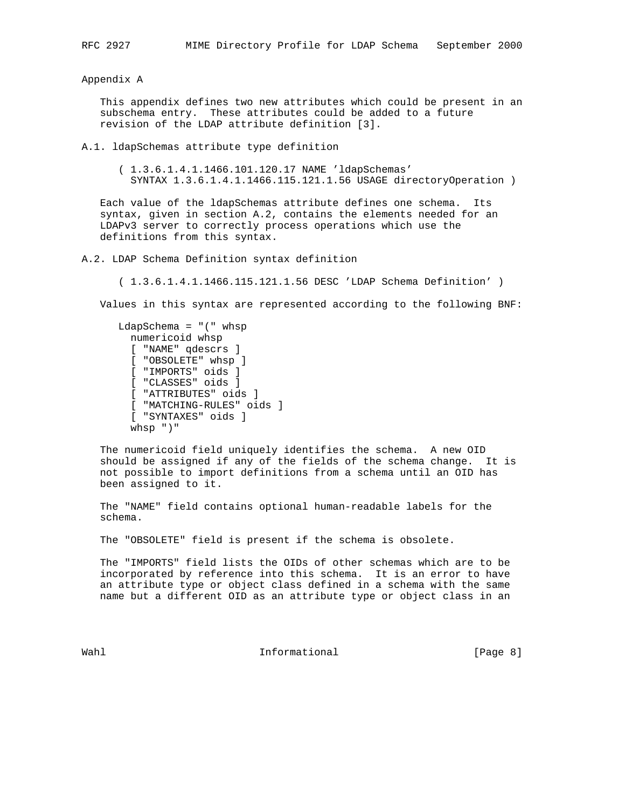Appendix A

 This appendix defines two new attributes which could be present in an subschema entry. These attributes could be added to a future revision of the LDAP attribute definition [3].

A.1. ldapSchemas attribute type definition

 ( 1.3.6.1.4.1.1466.101.120.17 NAME 'ldapSchemas' SYNTAX 1.3.6.1.4.1.1466.115.121.1.56 USAGE directoryOperation )

 Each value of the ldapSchemas attribute defines one schema. Its syntax, given in section A.2, contains the elements needed for an LDAPv3 server to correctly process operations which use the definitions from this syntax.

A.2. LDAP Schema Definition syntax definition

( 1.3.6.1.4.1.1466.115.121.1.56 DESC 'LDAP Schema Definition' )

Values in this syntax are represented according to the following BNF:

```
 LdapSchema = "(" whsp
  numericoid whsp
  [ "NAME" qdescrs ]
  [ "OBSOLETE" whsp ]
  [ "IMPORTS" oids ]
  [ "CLASSES" oids ]
  [ "ATTRIBUTES" oids ]
  [ "MATCHING-RULES" oids ]
  [ "SYNTAXES" oids ]
  whsp ")"
```
 The numericoid field uniquely identifies the schema. A new OID should be assigned if any of the fields of the schema change. It is not possible to import definitions from a schema until an OID has been assigned to it.

 The "NAME" field contains optional human-readable labels for the schema.

The "OBSOLETE" field is present if the schema is obsolete.

 The "IMPORTS" field lists the OIDs of other schemas which are to be incorporated by reference into this schema. It is an error to have an attribute type or object class defined in a schema with the same name but a different OID as an attribute type or object class in an

Wahl **Informational Informational Informational I**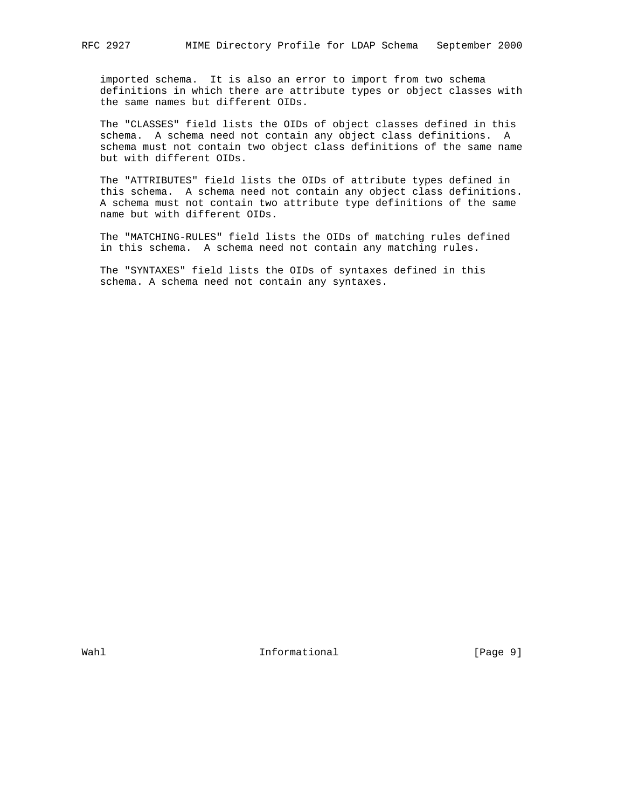imported schema. It is also an error to import from two schema definitions in which there are attribute types or object classes with the same names but different OIDs.

 The "CLASSES" field lists the OIDs of object classes defined in this schema. A schema need not contain any object class definitions. A schema must not contain two object class definitions of the same name but with different OIDs.

 The "ATTRIBUTES" field lists the OIDs of attribute types defined in this schema. A schema need not contain any object class definitions. A schema must not contain two attribute type definitions of the same name but with different OIDs.

 The "MATCHING-RULES" field lists the OIDs of matching rules defined in this schema. A schema need not contain any matching rules.

 The "SYNTAXES" field lists the OIDs of syntaxes defined in this schema. A schema need not contain any syntaxes.

Wahl **Informational** Informational [Page 9]